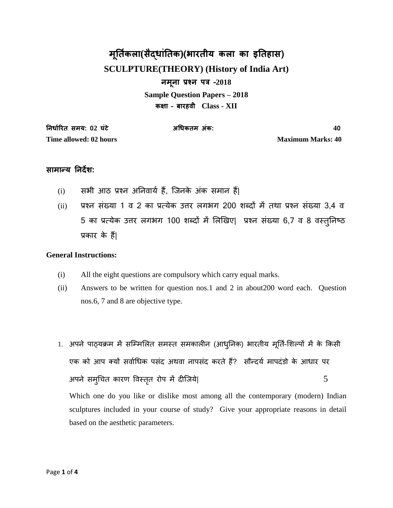# **मर् ूतकि ऱा(सैद्ाांर्तक)(भारतीय कऱा का इर्तहास) SCULPTURE(THEORY) (History of India Art) नमूना प्रश्न पत्र –2018**

**Sample Question Papers – 2018 कऺा – बारहवी Class - XII**

**र्न्ािररत समय: 02 घांटे अध्कतम अांक: 40 Time allowed: 02 hours Maximum Marks: 40**

# **सामान्य र्नर्देश:**

- (i) सभी आठ प्रश्न अनिवार्य हैं, जिनके अंक समान हैं|
- (ii) प्रश्न सॊख्या 1 व 2 का प्रत्येक उत्तर ऱगभग 200 शब्दों में तथा प्रश्न सॊख्या 3,4 व 5 का प्रत्येक उत्तर लगभग 100 शब्दों में लिखिए| प्रश्न संख्या 6,7 व 8 वस्तुनिष्ठ प्रकार के हैं|

## **General Instructions:**

- (i) All the eight questions are compulsory which carry equal marks.
- (ii) Answers to be written for question nos.1 and 2 in about200 word each. Question nos.6, 7 and 8 are objective type.
- 1. अपने पाठ्यक्रम में सम्मिलित समस्त समकालीन (आधुनिक) भारतीय मूर्ति-शिल्पों में के किसी एक को आप क्यों सर्वाधिक पसंद अथवा नापसंद करते हैं? सौन्दर्य मापदंडो के आधार पर अपने समुचित कारण विस्तृत रोप में दीजिये|  $5$

Which one do you like or dislike most among all the contemporary (modern) Indian sculptures included in your course of study? Give your appropriate reasons in detail based on the aesthetic parameters.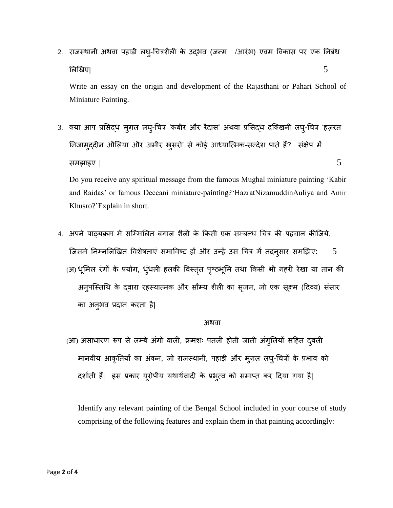2. राजस्थानी अथवा पहाड़ी लघ्-चित्रशैली के उद्भव (जन्म /आरंभ) एवम विकास पर एक निबंध लिखिए|  $5$ 

Write an essay on the origin and development of the Rajasthani or Pahari School of Miniature Painting.

3. क्या आप प्रसिद्ध मुग़ल लघ्-चित्र 'कबीर और रैदास' अथवा प्रसिद्ध दक्खिनी लघ्-चित्र 'हज़रत निजामद्दीन औलिया और अमीर खुसरो' से कोई आध्यात्मिक-सन्देश पाते हैं? संक्षेप में समझाइए | $5$ 

Do you receive any spiritual message from the famous Mughal miniature painting 'Kabir and Raidas' or famous Deccani miniature-painting?'HazratNizamuddinAuliya and Amir Khusro?'Explain in short.

4. अपने पाठ्यक्रम में सम्मिलित बंगाल शैली के किसी एक सम्बन्ध चित्र की पहचान कीजिये, जिसमे निम्नलिखित विशेषताएं समाविष्ट हों और उन्हें उस चित्र में तदनूसार समझिए: 5 (अ) धूमिल रंगों के प्रयोग, धुंधली हलकी विस्तृत पृष्ठभूमि तथा किसी भी गहरी रेखा या तान की अनुपस्तिथि के दवारा रहस्यात्मक और सौम्य शैली का सृजन, जो एक सूक्ष्म (दिव्य) संसार का अनूभव प्रदान करता है|

### अथवा

(आ) असाधारण रूप से लम्बे अंगो वाली, क्रमशः पतली होती जाती अंगुलियों सहित दुबली मानवीय आकृतियों का अंकन, जो राजस्थानी, पहाड़ी और मुग़ल लघु-चित्रों के प्रभाव को दर्शाती हैं| इस प्रकार यूरोपीय यथार्थवादी के प्रभुत्व को समाप्त कर दिया गया है|

Identify any relevant painting of the Bengal School included in your course of study comprising of the following features and explain them in that painting accordingly: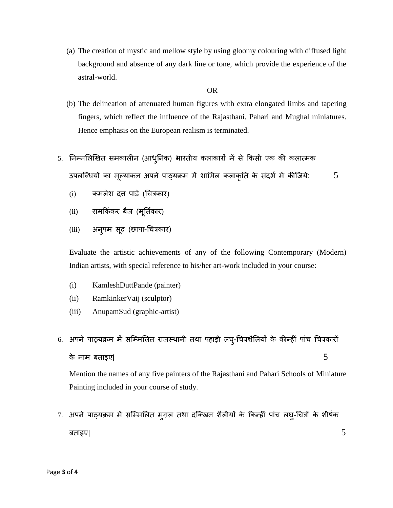(a) The creation of mystic and mellow style by using gloomy colouring with diffused light background and absence of any dark line or tone, which provide the experience of the astral-world.

### OR

- (b) The delineation of attenuated human figures with extra elongated limbs and tapering fingers, which reflect the influence of the Rajasthani, Pahari and Mughal miniatures. Hence emphasis on the European realism is terminated.
- 5. ननमनलऱखित समकाऱीन (आधुननक) भारतीय कऱाकारों में से ककसी एक की कऱात्मक उपलब्धियों का मूल्यांकन अपने पाठ्यक्रम में शामिल कलाकृति के संदर्भ में कीजिये:  $\hspace{1.5mm}5$ 
	- (i) कमलेश दत्त पांडे (चित्रकार)
	- (ii) रामकिंकर बैज (मूर्तिकार)
	- (iii) अनुपम सुद (छापा-चित्रकार)

Evaluate the artistic achievements of any of the following Contemporary (Modern) Indian artists, with special reference to his/her art-work included in your course:

- (i) KamleshDuttPande (painter)
- (ii) RamkinkerVaij (sculptor)
- (iii) AnupamSud (graphic-artist)
- 6. अपने पाठ्यक्रम में सम्मिलित राजस्थानी तथा पहाड़ी लघ्-चित्रशैलियों के कीन्हीं पांच चित्रकारों के नाम बताइए $\vert$

Mention the names of any five painters of the Rajasthani and Pahari Schools of Miniature Painting included in your course of study.

7. अपने पाठ्यक्रम में सम्मिलित म्ग़ल तथा दक्खिन शैलीयों के किन्हीं पांच लघ्-चित्रों के शीर्षक बताइए $|\hspace{.1cm}5\hspace{.1cm}|\hspace{.1cm}$